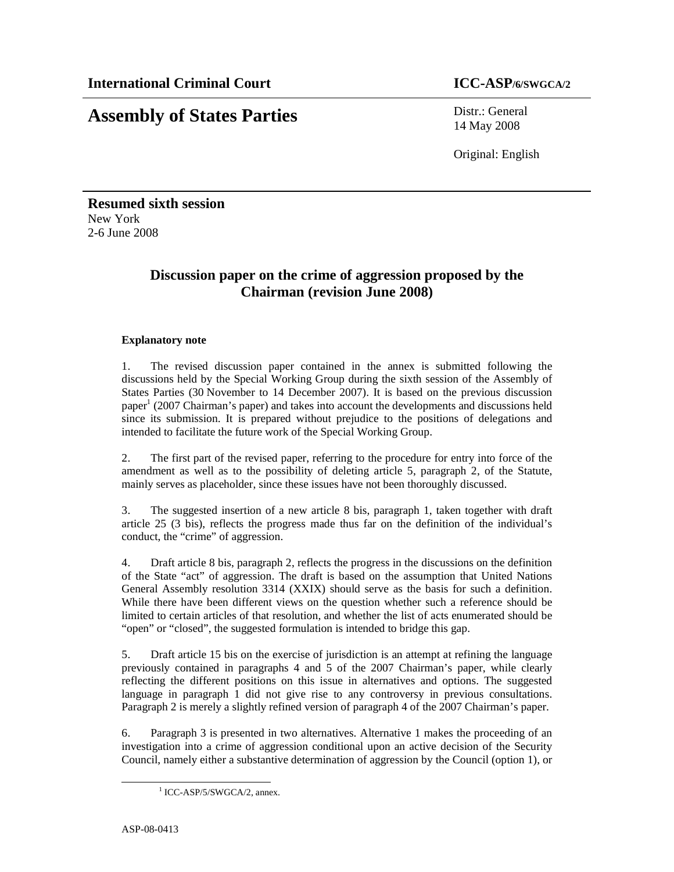# **Assembly of States Parties** Distr.: General

14 May 2008

Original: English

**Resumed sixth session**  New York 2-6 June 2008

# **Discussion paper on the crime of aggression proposed by the Chairman (revision June 2008)**

# **Explanatory note**

1. The revised discussion paper contained in the annex is submitted following the discussions held by the Special Working Group during the sixth session of the Assembly of States Parties (30 November to 14 December 2007). It is based on the previous discussion paper<sup>1</sup> (2007 Chairman's paper) and takes into account the developments and discussions held since its submission. It is prepared without prejudice to the positions of delegations and intended to facilitate the future work of the Special Working Group.

2. The first part of the revised paper, referring to the procedure for entry into force of the amendment as well as to the possibility of deleting article 5, paragraph 2, of the Statute, mainly serves as placeholder, since these issues have not been thoroughly discussed.

3. The suggested insertion of a new article 8 bis, paragraph 1, taken together with draft article 25 (3 bis), reflects the progress made thus far on the definition of the individual's conduct, the "crime" of aggression.

4. Draft article 8 bis, paragraph 2, reflects the progress in the discussions on the definition of the State "act" of aggression. The draft is based on the assumption that United Nations General Assembly resolution 3314 (XXIX) should serve as the basis for such a definition. While there have been different views on the question whether such a reference should be limited to certain articles of that resolution, and whether the list of acts enumerated should be "open" or "closed", the suggested formulation is intended to bridge this gap.

5. Draft article 15 bis on the exercise of jurisdiction is an attempt at refining the language previously contained in paragraphs 4 and 5 of the 2007 Chairman's paper, while clearly reflecting the different positions on this issue in alternatives and options. The suggested language in paragraph 1 did not give rise to any controversy in previous consultations. Paragraph 2 is merely a slightly refined version of paragraph 4 of the 2007 Chairman's paper.

6. Paragraph 3 is presented in two alternatives. Alternative 1 makes the proceeding of an investigation into a crime of aggression conditional upon an active decision of the Security Council, namely either a substantive determination of aggression by the Council (option 1), or

-

<sup>&</sup>lt;sup>1</sup> ICC-ASP/5/SWGCA/2, annex.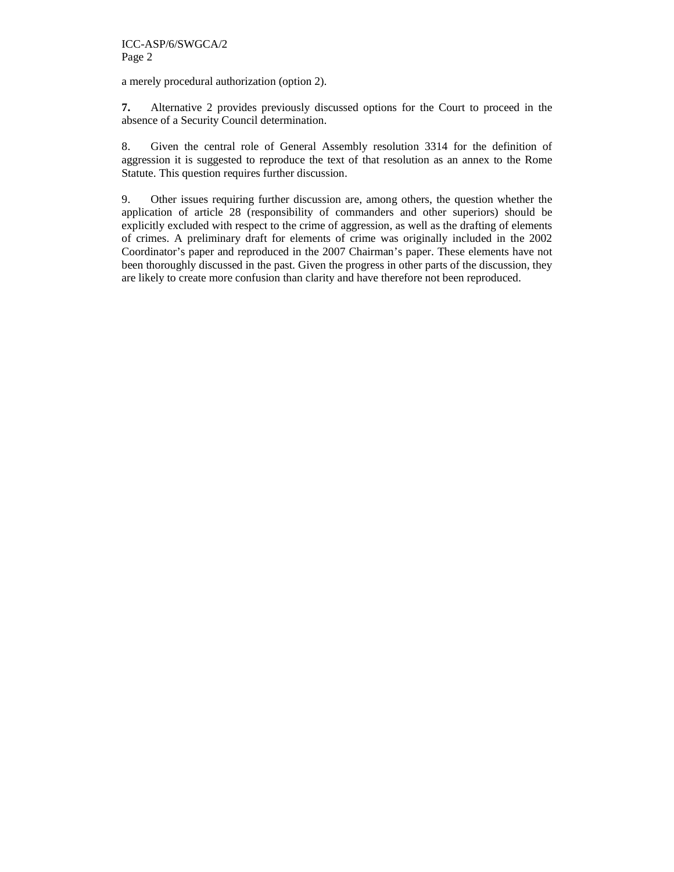a merely procedural authorization (option 2).

**7.** Alternative 2 provides previously discussed options for the Court to proceed in the absence of a Security Council determination.

8. Given the central role of General Assembly resolution 3314 for the definition of aggression it is suggested to reproduce the text of that resolution as an annex to the Rome Statute. This question requires further discussion.

9. Other issues requiring further discussion are, among others, the question whether the application of article 28 (responsibility of commanders and other superiors) should be explicitly excluded with respect to the crime of aggression, as well as the drafting of elements of crimes. A preliminary draft for elements of crime was originally included in the 2002 Coordinator's paper and reproduced in the 2007 Chairman's paper. These elements have not been thoroughly discussed in the past. Given the progress in other parts of the discussion, they are likely to create more confusion than clarity and have therefore not been reproduced.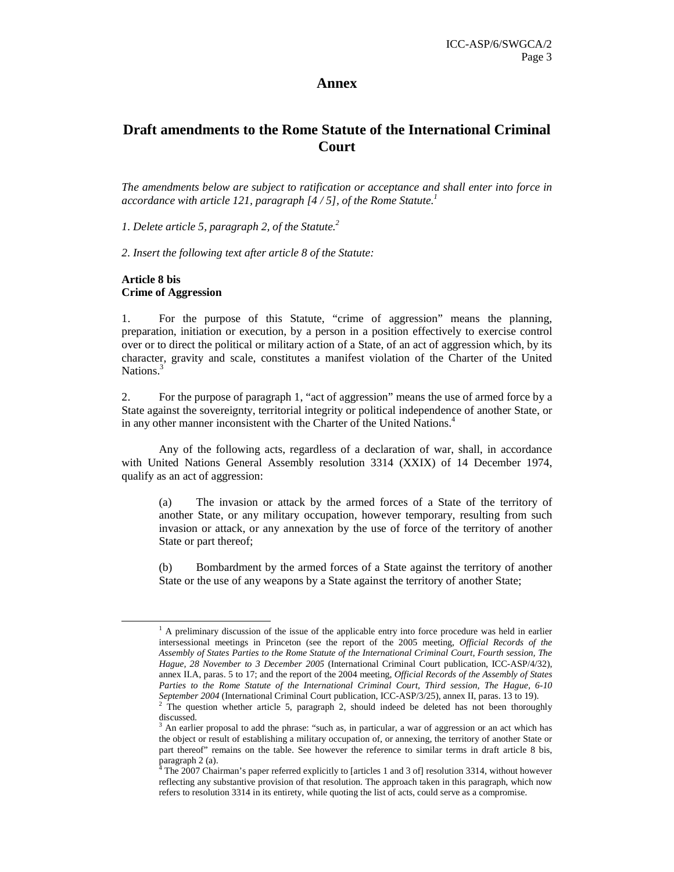# **Annex**

# **Draft amendments to the Rome Statute of the International Criminal Court**

*The amendments below are subject to ratification or acceptance and shall enter into force in accordance with article 121, paragraph [4 / 5], of the Rome Statute.<sup>1</sup>* 

*1. Delete article 5, paragraph 2, of the Statute.<sup>2</sup>*

*2. Insert the following text after article 8 of the Statute:* 

# **Article 8 bis Crime of Aggression**

-

1. For the purpose of this Statute, "crime of aggression" means the planning, preparation, initiation or execution, by a person in a position effectively to exercise control over or to direct the political or military action of a State, of an act of aggression which, by its character, gravity and scale, constitutes a manifest violation of the Charter of the United Nations.<sup>3</sup>

2. For the purpose of paragraph 1, "act of aggression" means the use of armed force by a State against the sovereignty, territorial integrity or political independence of another State, or in any other manner inconsistent with the Charter of the United Nations.<sup>4</sup>

Any of the following acts, regardless of a declaration of war, shall, in accordance with United Nations General Assembly resolution 3314 (XXIX) of 14 December 1974, qualify as an act of aggression:

(a) The invasion or attack by the armed forces of a State of the territory of another State, or any military occupation, however temporary, resulting from such invasion or attack, or any annexation by the use of force of the territory of another State or part thereof;

(b) Bombardment by the armed forces of a State against the territory of another State or the use of any weapons by a State against the territory of another State;

<sup>&</sup>lt;sup>1</sup> A preliminary discussion of the issue of the applicable entry into force procedure was held in earlier intersessional meetings in Princeton (see the report of the 2005 meeting, *Official Records of the Assembly of States Parties to the Rome Statute of the International Criminal Court, Fourth session, The Hague, 28 November to 3 December 2005* (International Criminal Court publication, ICC-ASP/4/32), annex II.A, paras. 5 to 17; and the report of the 2004 meeting, *Official Records of the Assembly of States Parties to the Rome Statute of the International Criminal Court, Third session, The Hague, 6-10 September 2004* (International Criminal Court publication, ICC-ASP/3/25), annex II, paras. 13 to 19).

<sup>&</sup>lt;sup>2</sup> The question whether article 5, paragraph 2, should indeed be deleted has not been thoroughly discussed.

<sup>3</sup> An earlier proposal to add the phrase: "such as, in particular, a war of aggression or an act which has the object or result of establishing a military occupation of, or annexing, the territory of another State or part thereof" remains on the table. See however the reference to similar terms in draft article 8 bis, paragraph 2 (a).<br><sup>4</sup> The 2007 Chairman's paper referred explicitly to [articles 1 and 3 of] resolution 3314, without however

reflecting any substantive provision of that resolution. The approach taken in this paragraph, which now refers to resolution 3314 in its entirety, while quoting the list of acts, could serve as a compromise.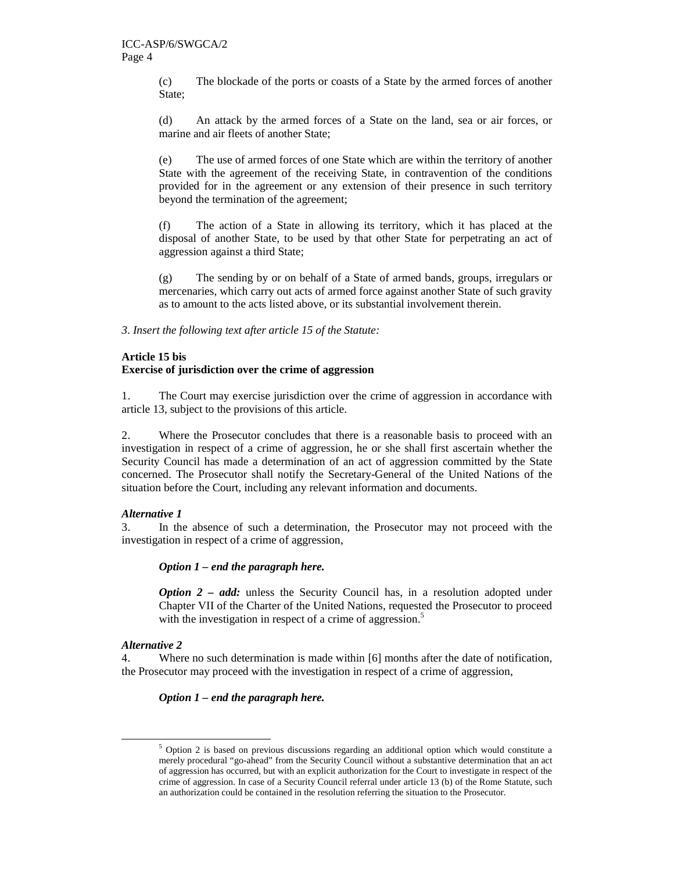(c) The blockade of the ports or coasts of a State by the armed forces of another State;

(d) An attack by the armed forces of a State on the land, sea or air forces, or marine and air fleets of another State;

(e) The use of armed forces of one State which are within the territory of another State with the agreement of the receiving State, in contravention of the conditions provided for in the agreement or any extension of their presence in such territory beyond the termination of the agreement;

(f) The action of a State in allowing its territory, which it has placed at the disposal of another State, to be used by that other State for perpetrating an act of aggression against a third State;

(g) The sending by or on behalf of a State of armed bands, groups, irregulars or mercenaries, which carry out acts of armed force against another State of such gravity as to amount to the acts listed above, or its substantial involvement therein.

*3. Insert the following text after article 15 of the Statute:* 

# **Article 15 bis**

# **Exercise of jurisdiction over the crime of aggression**

1. The Court may exercise jurisdiction over the crime of aggression in accordance with article 13, subject to the provisions of this article.

2. Where the Prosecutor concludes that there is a reasonable basis to proceed with an investigation in respect of a crime of aggression, he or she shall first ascertain whether the Security Council has made a determination of an act of aggression committed by the State concerned. The Prosecutor shall notify the Secretary-General of the United Nations of the situation before the Court, including any relevant information and documents.

# *Alternative 1*

3. In the absence of such a determination, the Prosecutor may not proceed with the investigation in respect of a crime of aggression,

*Option 1 – end the paragraph here.* 

*Option 2 – add:* unless the Security Council has, in a resolution adopted under Chapter VII of the Charter of the United Nations, requested the Prosecutor to proceed with the investigation in respect of a crime of aggression.<sup>5</sup>

# *Alternative 2*

-

4. Where no such determination is made within [6] months after the date of notification, the Prosecutor may proceed with the investigation in respect of a crime of aggression,

# *Option 1 – end the paragraph here.*

<sup>&</sup>lt;sup>5</sup> Option 2 is based on previous discussions regarding an additional option which would constitute a merely procedural "go-ahead" from the Security Council without a substantive determination that an act of aggression has occurred, but with an explicit authorization for the Court to investigate in respect of the crime of aggression. In case of a Security Council referral under article 13 (b) of the Rome Statute, such an authorization could be contained in the resolution referring the situation to the Prosecutor.